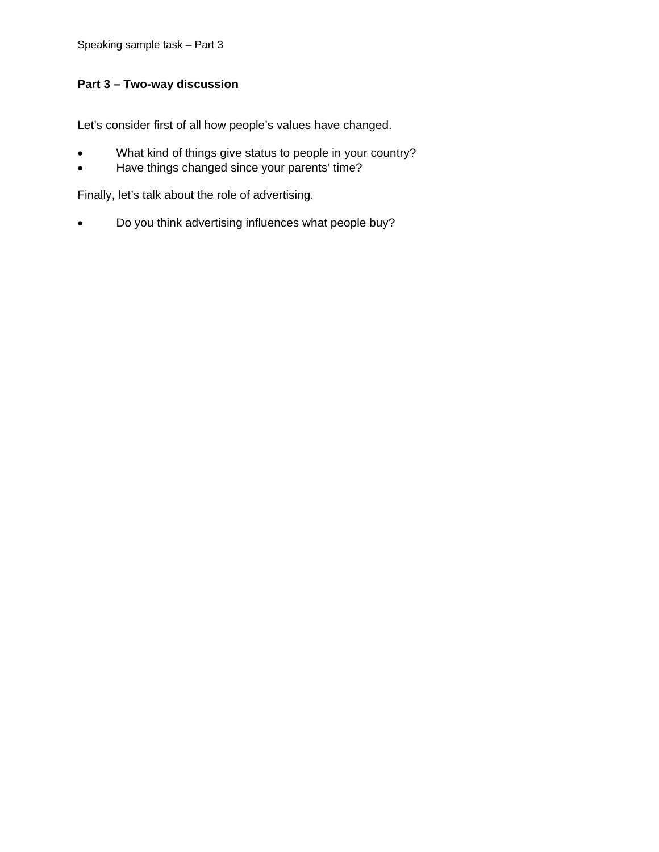## **Part 3 – Two-way discussion**

Let's consider first of all how people's values have changed.

- What kind of things give status to people in your country?
- Have things changed since your parents' time?

Finally, let's talk about the role of advertising.

• Do you think advertising influences what people buy?